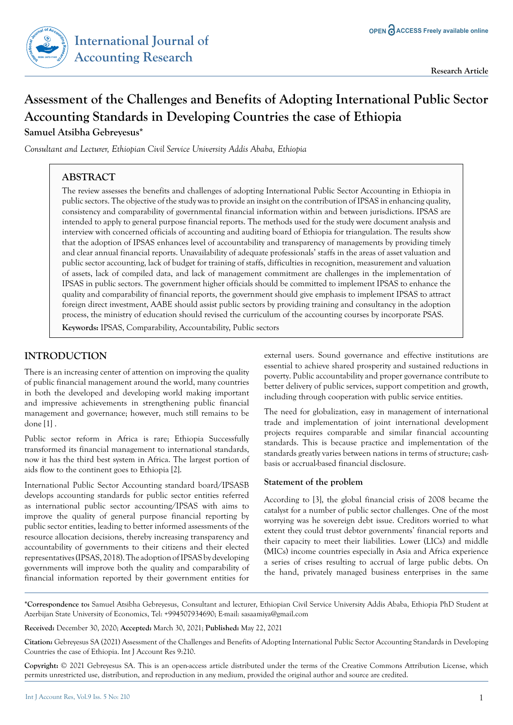

# **Assessment of the Challenges and Benefits of Adopting International Public Sector Accounting Standards in Developing Countries the case of Ethiopia Samuel Atsibha Gebreyesus\***

*Consultant and Lecturer, Ethiopian Civil Service University Addis Ababa, Ethiopia*

## **ABSTRACT**

The review assesses the benefits and challenges of adopting International Public Sector Accounting in Ethiopia in public sectors. The objective of the study was to provide an insight on the contribution of IPSAS in enhancing quality, consistency and comparability of governmental financial information within and between jurisdictions. IPSAS are intended to apply to general purpose financial reports. The methods used for the study were document analysis and interview with concerned officials of accounting and auditing board of Ethiopia for triangulation. The results show that the adoption of IPSAS enhances level of accountability and transparency of managements by providing timely and clear annual financial reports. Unavailability of adequate professionals' staffs in the areas of asset valuation and public sector accounting, lack of budget for training of staffs, difficulties in recognition, measurement and valuation of assets, lack of compiled data, and lack of management commitment are challenges in the implementation of IPSAS in public sectors. The government higher officials should be committed to implement IPSAS to enhance the quality and comparability of financial reports, the government should give emphasis to implement IPSAS to attract foreign direct investment, AABE should assist public sectors by providing training and consultancy in the adoption process, the ministry of education should revised the curriculum of the accounting courses by incorporate PSAS.

**Keywords:** IPSAS, Comparability, Accountability, Public sectors

## **INTRODUCTION**

There is an increasing center of attention on improving the quality of public financial management around the world, many countries in both the developed and developing world making important and impressive achievements in strengthening public financial management and governance; however, much still remains to be done [1] .

Public sector reform in Africa is rare; Ethiopia Successfully transformed its financial management to international standards, now it has the third best system in Africa. The largest portion of aids flow to the continent goes to Ethiopia [2].

International Public Sector Accounting standard board/IPSASB develops accounting standards for public sector entities referred as international public sector accounting/IPSAS with aims to improve the quality of general purpose financial reporting by public sector entities, leading to better informed assessments of the resource allocation decisions, thereby increasing transparency and accountability of governments to their citizens and their elected representatives (IPSAS, 2018). The adoption of IPSAS by developing governments will improve both the quality and comparability of financial information reported by their government entities for external users. Sound governance and effective institutions are essential to achieve shared prosperity and sustained reductions in poverty. Public accountability and proper governance contribute to better delivery of public services, support competition and growth, including through cooperation with public service entities.

The need for globalization, easy in management of international trade and implementation of joint international development projects requires comparable and similar financial accounting standards. This is because practice and implementation of the standards greatly varies between nations in terms of structure; cashbasis or accrual-based financial disclosure.

## **Statement of the problem**

According to [3], the global financial crisis of 2008 became the catalyst for a number of public sector challenges. One of the most worrying was he sovereign debt issue. Creditors worried to what extent they could trust debtor governments' financial reports and their capacity to meet their liabilities. Lower (LICs) and middle (MICs) income countries especially in Asia and Africa experience a series of crises resulting to accrual of large public debts. On the hand, privately managed business enterprises in the same

**\*Correspondence to:** Samuel Atsibha Gebreyesus, Consultant and lecturer, Ethiopian Civil Service University Addis Ababa, Ethiopia PhD Student at Azerbijan State University of Economics, Tel: +994507934690; E-mail: sasaamiya@gmail.com

**Received:** December 30, 2020; **Accepted:** March 30, 2021; **Published:** May 22, 2021

**Citation:** Gebreyesus SA (2021) Assessment of the Challenges and Benefits of Adopting International Public Sector Accounting Standards in Developing Countries the case of Ethiopia. Int J Account Res 9:210.

**Copyright:** © 2021 Gebreyesus SA. This is an open-access article distributed under the terms of the Creative Commons Attribution License, which permits unrestricted use, distribution, and reproduction in any medium, provided the original author and source are credited.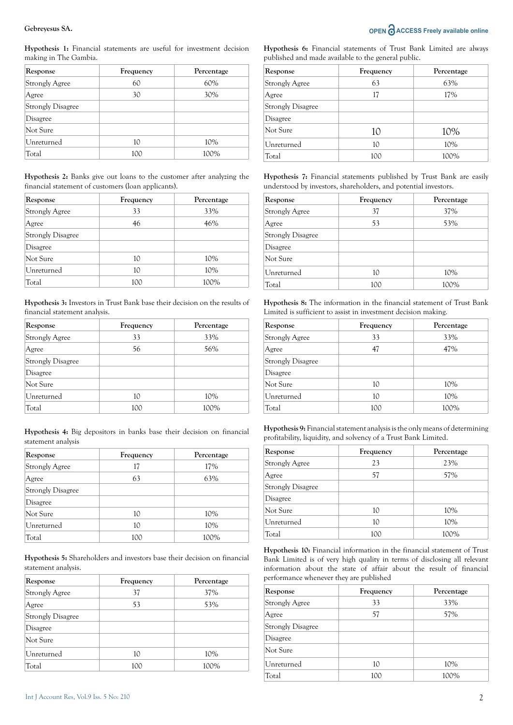**Gebreyesus SA. OPEN ACCESS Freely available online**

**Hypothesis 1:** Financial statements are useful for investment decision making in The Gambia.

| Response                 | Frequency | Percentage |
|--------------------------|-----------|------------|
| <b>Strongly Agree</b>    | 60        | 60%        |
| Agree                    | 30        | 30%        |
| <b>Strongly Disagree</b> |           |            |
| Disagree                 |           |            |
| Not Sure                 |           |            |
| Unreturned               | 10        | 10%        |
| Total                    | 100       | 100%       |

**Hypothesis 2:** Banks give out loans to the customer after analyzing the financial statement of customers (loan applicants).

| Response                 | Frequency | Percentage |
|--------------------------|-----------|------------|
| <b>Strongly Agree</b>    | 33        | 33%        |
| Agree                    | 46        | 46%        |
| <b>Strongly Disagree</b> |           |            |
| Disagree                 |           |            |
| Not Sure                 | 10        | 10%        |
| Unreturned               | 10        | 10%        |
| Total                    | 100       | 100%       |

**Hypothesis 3:** Investors in Trust Bank base their decision on the results of financial statement analysis.

| Response                 | Frequency | Percentage |
|--------------------------|-----------|------------|
| <b>Strongly Agree</b>    | 33        | 33%        |
| Agree                    | 56        | 56%        |
| <b>Strongly Disagree</b> |           |            |
| Disagree                 |           |            |
| Not Sure                 |           |            |
| Unreturned               | 10        | 10%        |
| Total                    | 100       | 100%       |

**Hypothesis 4:** Big depositors in banks base their decision on financial statement analysis

| Response                 | Frequency | Percentage |
|--------------------------|-----------|------------|
| <b>Strongly Agree</b>    | 17        | 17%        |
| Agree                    | 63        | 63%        |
| <b>Strongly Disagree</b> |           |            |
| <b>Disagree</b>          |           |            |
| Not Sure                 | 10        | 10%        |
| Unreturned               | 10        | 10%        |
| Total                    | 100       | $100\%$    |

**Hypothesis 5:** Shareholders and investors base their decision on financial statement analysis.

| Response                 | Frequency | Percentage |
|--------------------------|-----------|------------|
| <b>Strongly Agree</b>    | 37        | 37%        |
| Agree                    | 53        | 53%        |
| <b>Strongly Disagree</b> |           |            |
| <b>Disagree</b>          |           |            |
| Not Sure                 |           |            |
| Unreturned               | 10        | 10%        |
| Total                    | 100       | 100%       |

**Hypothesis 6:** Financial statements of Trust Bank Limited are always published and made available to the general public.

| Response                 | Frequency | Percentage |
|--------------------------|-----------|------------|
| <b>Strongly Agree</b>    | 63        | 63%        |
| Agree                    | 17        | 17%        |
| <b>Strongly Disagree</b> |           |            |
| <b>Disagree</b>          |           |            |
| Not Sure                 | 10        | 10%        |
| Unreturned               | 10        | 10%        |
| Total                    | 100       | 100%       |

**Hypothesis 7:** Financial statements published by Trust Bank are easily understood by investors, shareholders, and potential investors.

| Response                 | Frequency | Percentage |
|--------------------------|-----------|------------|
| <b>Strongly Agree</b>    | 37        | 37%        |
| Agree                    | 53        | 53%        |
| <b>Strongly Disagree</b> |           |            |
| Disagree                 |           |            |
| Not Sure                 |           |            |
| Unreturned               | 10        | 10%        |
| Total                    | 100       | 100%       |

**Hypothesis 8:** The information in the financial statement of Trust Bank Limited is sufficient to assist in investment decision making.

| Response                 | Frequency | Percentage |
|--------------------------|-----------|------------|
| <b>Strongly Agree</b>    | 33        | 33%        |
| Agree                    | 47        | 47%        |
| <b>Strongly Disagree</b> |           |            |
| Disagree                 |           |            |
| Not Sure                 | 10        | 10%        |
| Unreturned               | 10        | 10%        |
| Total                    | 100       | 100%       |

**Hypothesis 9:** Financial statement analysis is the only means of determining profitability, liquidity, and solvency of a Trust Bank Limited.

| Response                 | Frequency | Percentage |
|--------------------------|-----------|------------|
| <b>Strongly Agree</b>    | 23        | 23%        |
| Agree                    | 57        | 57%        |
| <b>Strongly Disagree</b> |           |            |
| Disagree                 |           |            |
| Not Sure                 | 10        | 10%        |
| Unreturned               | 10        | 10%        |
| Total                    | 100       | 100%       |

**Hypothesis 10:** Financial information in the financial statement of Trust Bank Limited is of very high quality in terms of disclosing all relevant information about the state of affair about the result of financial performance whenever they are published

| Response                 | Frequency | Percentage |
|--------------------------|-----------|------------|
| <b>Strongly Agree</b>    | 33        | 33%        |
| Agree                    | 57        | 57%        |
| <b>Strongly Disagree</b> |           |            |
| <b>Disagree</b>          |           |            |
| Not Sure                 |           |            |
| Unreturned               | 10        | 10%        |
| Total                    | 100       | 100%       |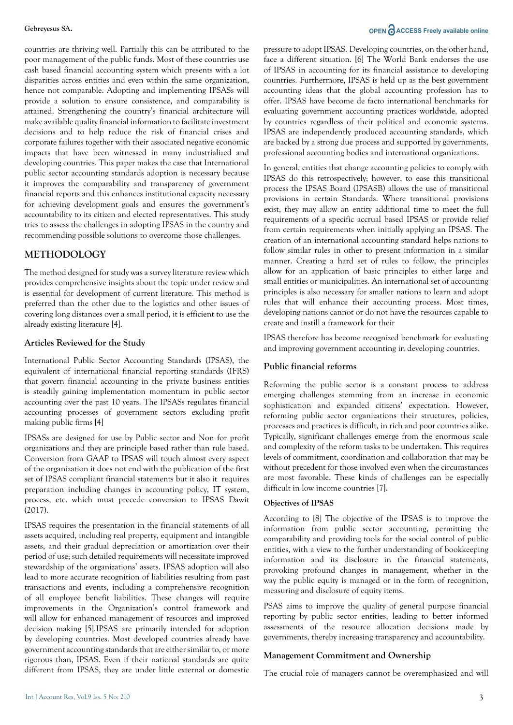countries are thriving well. Partially this can be attributed to the poor management of the public funds. Most of these countries use cash based financial accounting system which presents with a lot disparities across entities and even within the same organization, hence not comparable. Adopting and implementing IPSASs will provide a solution to ensure consistence, and comparability is attained. Strengthening the country's financial architecture will make available quality financial information to facilitate investment decisions and to help reduce the risk of financial crises and corporate failures together with their associated negative economic impacts that have been witnessed in many industrialized and developing countries. This paper makes the case that International public sector accounting standards adoption is necessary because it improves the comparability and transparency of government financial reports and this enhances institutional capacity necessary for achieving development goals and ensures the government's accountability to its citizen and elected representatives. This study tries to assess the challenges in adopting IPSAS in the country and recommending possible solutions to overcome those challenges.

## **Methodology**

The method designed for study was a survey literature review which provides comprehensive insights about the topic under review and is essential for development of current literature. This method is preferred than the other due to the logistics and other issues of covering long distances over a small period, it is efficient to use the already existing literature [4].

#### **Articles Reviewed for the Study**

International Public Sector Accounting Standards (IPSAS), the equivalent of international financial reporting standards (IFRS) that govern financial accounting in the private business entities is steadily gaining implementation momentum in public sector accounting over the past 10 years. The IPSASs regulates financial accounting processes of government sectors excluding profit making public firms [4]

IPSASs are designed for use by Public sector and Non for profit organizations and they are principle based rather than rule based. Conversion from GAAP to IPSAS will touch almost every aspect of the organization it does not end with the publication of the first set of IPSAS compliant financial statements but it also it requires preparation including changes in accounting policy, IT system, process, etc. which must precede conversion to IPSAS Dawit (2017).

IPSAS requires the presentation in the financial statements of all assets acquired, including real property, equipment and intangible assets, and their gradual depreciation or amortization over their period of use; such detailed requirements will necessitate improved stewardship of the organizations' assets. IPSAS adoption will also lead to more accurate recognition of liabilities resulting from past transactions and events, including a comprehensive recognition of all employee benefit liabilities. These changes will require improvements in the Organization's control framework and will allow for enhanced management of resources and improved decision making [5].IPSAS are primarily intended for adoption by developing countries. Most developed countries already have government accounting standards that are either similar to, or more rigorous than, IPSAS. Even if their national standards are quite different from IPSAS, they are under little external or domestic

## **Gebreyesus SA. OPEN ACCESS Freely available online**

pressure to adopt IPSAS. Developing countries, on the other hand, face a different situation. [6] The World Bank endorses the use of IPSAS in accounting for its financial assistance to developing countries. Furthermore, IPSAS is held up as the best government accounting ideas that the global accounting profession has to offer. IPSAS have become de facto international benchmarks for evaluating government accounting practices worldwide, adopted by countries regardless of their political and economic systems. IPSAS are independently produced accounting standards, which are backed by a strong due process and supported by governments, professional accounting bodies and international organizations.

In general, entities that change accounting policies to comply with IPSAS do this retrospectively; however, to ease this transitional process the IPSAS Board (IPSASB) allows the use of transitional provisions in certain Standards. Where transitional provisions exist, they may allow an entity additional time to meet the full requirements of a specific accrual based IPSAS or provide relief from certain requirements when initially applying an IPSAS. The creation of an international accounting standard helps nations to follow similar rules in other to present information in a similar manner. Creating a hard set of rules to follow, the principles allow for an application of basic principles to either large and small entities or municipalities. An international set of accounting principles is also necessary for smaller nations to learn and adopt rules that will enhance their accounting process. Most times, developing nations cannot or do not have the resources capable to create and instill a framework for their

IPSAS therefore has become recognized benchmark for evaluating and improving government accounting in developing countries.

## **Public financial reforms**

Reforming the public sector is a constant process to address emerging challenges stemming from an increase in economic sophistication and expanded citizens' expectation. However, reforming public sector organizations their structures, policies, processes and practices is difficult, in rich and poor countries alike. Typically, significant challenges emerge from the enormous scale and complexity of the reform tasks to be undertaken. This requires levels of commitment, coordination and collaboration that may be without precedent for those involved even when the circumstances are most favorable. These kinds of challenges can be especially difficult in low income countries [7].

## **Objectives of IPSAS**

According to [8] The objective of the IPSAS is to improve the information from public sector accounting, permitting the comparability and providing tools for the social control of public entities, with a view to the further understanding of bookkeeping information and its disclosure in the financial statements, provoking profound changes in management, whether in the way the public equity is managed or in the form of recognition, measuring and disclosure of equity items.

PSAS aims to improve the quality of general purpose financial reporting by public sector entities, leading to better informed assessments of the resource allocation decisions made by governments, thereby increasing transparency and accountability.

## **Management Commitment and Ownership**

The crucial role of managers cannot be overemphasized and will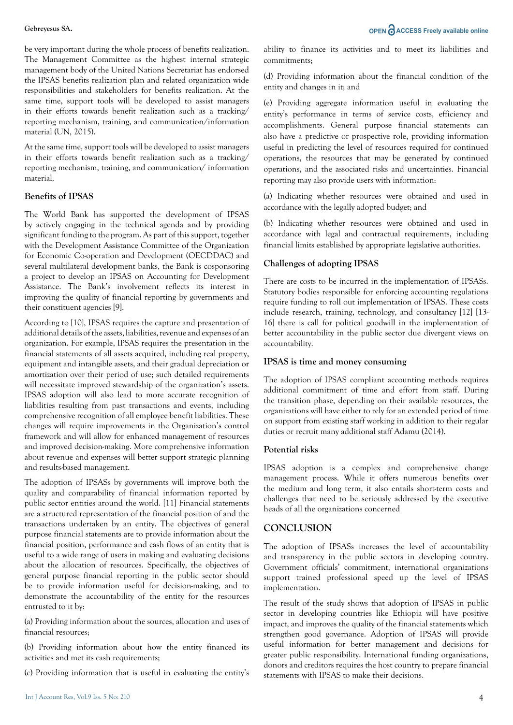## **Gebreyesus SA. OPEN**  $\partial$  **ACCESS** Freely available online

be very important during the whole process of benefits realization. The Management Committee as the highest internal strategic management body of the United Nations Secretariat has endorsed the IPSAS benefits realization plan and related organization wide responsibilities and stakeholders for benefits realization. At the same time, support tools will be developed to assist managers in their efforts towards benefit realization such as a tracking/ reporting mechanism, training, and communication/information material (UN, 2015).

At the same time, support tools will be developed to assist managers in their efforts towards benefit realization such as a tracking/ reporting mechanism, training, and communication/ information material.

## **Benefits of IPSAS**

The World Bank has supported the development of IPSAS by actively engaging in the technical agenda and by providing significant funding to the program. As part of this support, together with the Development Assistance Committee of the Organization for Economic Co-operation and Development (OECDDAC) and several multilateral development banks, the Bank is cosponsoring a project to develop an IPSAS on Accounting for Development Assistance. The Bank's involvement reflects its interest in improving the quality of financial reporting by governments and their constituent agencies [9].

According to [10], IPSAS requires the capture and presentation of additional details of the assets, liabilities, revenue and expenses of an organization. For example, IPSAS requires the presentation in the financial statements of all assets acquired, including real property, equipment and intangible assets, and their gradual depreciation or amortization over their period of use; such detailed requirements will necessitate improved stewardship of the organization's assets. IPSAS adoption will also lead to more accurate recognition of liabilities resulting from past transactions and events, including comprehensive recognition of all employee benefit liabilities. These changes will require improvements in the Organization's control framework and will allow for enhanced management of resources and improved decision-making. More comprehensive information about revenue and expenses will better support strategic planning and results-based management.

The adoption of IPSASs by governments will improve both the quality and comparability of financial information reported by public sector entities around the world. [11] Financial statements are a structured representation of the financial position of and the transactions undertaken by an entity. The objectives of general purpose financial statements are to provide information about the financial position, performance and cash flows of an entity that is useful to a wide range of users in making and evaluating decisions about the allocation of resources. Specifically, the objectives of general purpose financial reporting in the public sector should be to provide information useful for decision-making, and to demonstrate the accountability of the entity for the resources entrusted to it by:

(a) Providing information about the sources, allocation and uses of financial resources;

(b) Providing information about how the entity financed its activities and met its cash requirements;

(c) Providing information that is useful in evaluating the entity's

ability to finance its activities and to meet its liabilities and commitments;

(d) Providing information about the financial condition of the entity and changes in it; and

(e) Providing aggregate information useful in evaluating the entity's performance in terms of service costs, efficiency and accomplishments. General purpose financial statements can also have a predictive or prospective role, providing information useful in predicting the level of resources required for continued operations, the resources that may be generated by continued operations, and the associated risks and uncertainties. Financial reporting may also provide users with information:

(a) Indicating whether resources were obtained and used in accordance with the legally adopted budget; and

(b) Indicating whether resources were obtained and used in accordance with legal and contractual requirements, including financial limits established by appropriate legislative authorities.

#### **Challenges of adopting IPSAS**

There are costs to be incurred in the implementation of IPSASs. Statutory bodies responsible for enforcing accounting regulations require funding to roll out implementation of IPSAS. These costs include research, training, technology, and consultancy [12] [13- 16] there is call for political goodwill in the implementation of better accountability in the public sector due divergent views on accountability.

### **IPSAS is time and money consuming**

The adoption of IPSAS compliant accounting methods requires additional commitment of time and effort from staff. During the transition phase, depending on their available resources, the organizations will have either to rely for an extended period of time on support from existing staff working in addition to their regular duties or recruit many additional staff Adamu (2014).

### **Potential risks**

IPSAS adoption is a complex and comprehensive change management process. While it offers numerous benefits over the medium and long term, it also entails short-term costs and challenges that need to be seriously addressed by the executive heads of all the organizations concerned

## **Conclusion**

The adoption of IPSASs increases the level of accountability and transparency in the public sectors in developing country. Government officials' commitment, international organizations support trained professional speed up the level of IPSAS implementation.

The result of the study shows that adoption of IPSAS in public sector in developing countries like Ethiopia will have positive impact, and improves the quality of the financial statements which strengthen good governance. Adoption of IPSAS will provide useful information for better management and decisions for greater public responsibility. International funding organizations, donors and creditors requires the host country to prepare financial statements with IPSAS to make their decisions.